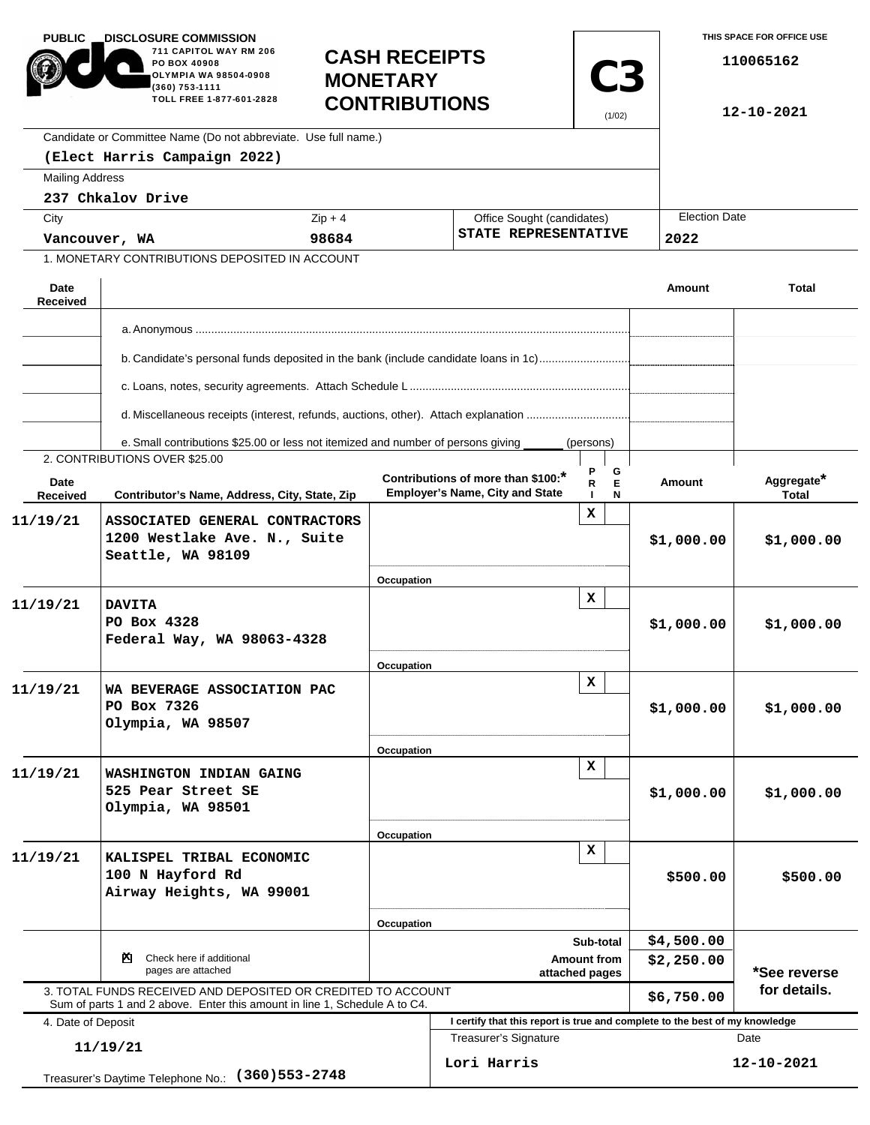| <b>PUBLIC</b><br><b>DISCLOSURE COMMISSION</b><br>711 CAPITOL WAY RM 206<br>PO BOX 40908<br>OLYMPIA WA 98504-0908<br>(360) 753-1111<br>TOLL FREE 1-877-601-2828<br>Candidate or Committee Name (Do not abbreviate. Use full name.) |                                                                                                                                            | <b>CASH RECEIPTS</b><br><b>MONETARY</b><br><b>CONTRIBUTIONS</b> |                                 | <b>C3</b><br>(1/02)                                                          |                  | THIS SPACE FOR OFFICE USE<br>110065162<br>12-10-2021 |                            |  |
|-----------------------------------------------------------------------------------------------------------------------------------------------------------------------------------------------------------------------------------|--------------------------------------------------------------------------------------------------------------------------------------------|-----------------------------------------------------------------|---------------------------------|------------------------------------------------------------------------------|------------------|------------------------------------------------------|----------------------------|--|
|                                                                                                                                                                                                                                   | (Elect Harris Campaign 2022)                                                                                                               |                                                                 |                                 |                                                                              |                  |                                                      |                            |  |
| <b>Mailing Address</b>                                                                                                                                                                                                            |                                                                                                                                            |                                                                 |                                 |                                                                              |                  |                                                      |                            |  |
|                                                                                                                                                                                                                                   | 237 Chkalov Drive                                                                                                                          |                                                                 |                                 |                                                                              |                  | <b>Election Date</b>                                 |                            |  |
| City                                                                                                                                                                                                                              |                                                                                                                                            | $Zip + 4$                                                       |                                 | Office Sought (candidates)<br>STATE REPRESENTATIVE                           |                  |                                                      |                            |  |
| 98684<br>Vancouver, WA<br>1. MONETARY CONTRIBUTIONS DEPOSITED IN ACCOUNT                                                                                                                                                          |                                                                                                                                            |                                                                 |                                 |                                                                              | 2022             |                                                      |                            |  |
|                                                                                                                                                                                                                                   |                                                                                                                                            |                                                                 |                                 |                                                                              |                  |                                                      |                            |  |
| Date<br><b>Received</b>                                                                                                                                                                                                           |                                                                                                                                            |                                                                 |                                 |                                                                              |                  | Amount                                               | <b>Total</b>               |  |
|                                                                                                                                                                                                                                   |                                                                                                                                            |                                                                 |                                 |                                                                              |                  |                                                      |                            |  |
|                                                                                                                                                                                                                                   |                                                                                                                                            |                                                                 |                                 |                                                                              |                  |                                                      |                            |  |
|                                                                                                                                                                                                                                   | b. Candidate's personal funds deposited in the bank (include candidate loans in 1c)                                                        |                                                                 |                                 |                                                                              |                  |                                                      |                            |  |
|                                                                                                                                                                                                                                   | d. Miscellaneous receipts (interest, refunds, auctions, other). Attach explanation                                                         |                                                                 |                                 |                                                                              |                  |                                                      |                            |  |
|                                                                                                                                                                                                                                   | e. Small contributions \$25.00 or less not itemized and number of persons giving                                                           |                                                                 |                                 |                                                                              | (persons)        |                                                      |                            |  |
|                                                                                                                                                                                                                                   | 2. CONTRIBUTIONS OVER \$25.00                                                                                                              |                                                                 |                                 |                                                                              |                  |                                                      |                            |  |
| Date<br>Received                                                                                                                                                                                                                  | Contributor's Name, Address, City, State, Zip                                                                                              |                                                                 |                                 | Contributions of more than \$100:*<br><b>Employer's Name, City and State</b> | G<br>E<br>R<br>N | <b>Amount</b>                                        | Aggregate*<br><b>Total</b> |  |
| 11/19/21                                                                                                                                                                                                                          | ASSOCIATED GENERAL CONTRACTORS<br>1200 Westlake Ave. N., Suite<br>Seattle, WA 98109                                                        |                                                                 |                                 |                                                                              | x                | \$1,000.00                                           | \$1,000.00                 |  |
|                                                                                                                                                                                                                                   |                                                                                                                                            |                                                                 | Occupation                      |                                                                              | x                |                                                      |                            |  |
| 11/19/21                                                                                                                                                                                                                          | <b>DAVITA</b><br>PO Box 4328<br>Federal Way, WA 98063-4328                                                                                 |                                                                 |                                 |                                                                              |                  | \$1,000.00                                           | \$1,000.00                 |  |
|                                                                                                                                                                                                                                   |                                                                                                                                            |                                                                 | Occupation                      |                                                                              | $\mathbf x$      |                                                      |                            |  |
| 11/19/21                                                                                                                                                                                                                          | WA BEVERAGE ASSOCIATION PAC<br>PO Box 7326<br>Olympia, WA 98507                                                                            |                                                                 |                                 |                                                                              |                  | \$1,000.00                                           | \$1,000.00                 |  |
|                                                                                                                                                                                                                                   |                                                                                                                                            |                                                                 | Occupation                      |                                                                              |                  |                                                      |                            |  |
| 11/19/21                                                                                                                                                                                                                          | WASHINGTON INDIAN GAING<br>525 Pear Street SE<br>Olympia, WA 98501                                                                         |                                                                 |                                 | $\mathbf x$                                                                  |                  | \$1,000.00                                           | \$1,000.00                 |  |
|                                                                                                                                                                                                                                   |                                                                                                                                            |                                                                 | Occupation                      |                                                                              |                  |                                                      |                            |  |
| 11/19/21                                                                                                                                                                                                                          | KALISPEL TRIBAL ECONOMIC<br>100 N Hayford Rd<br>Airway Heights, WA 99001                                                                   |                                                                 | x                               |                                                                              |                  | \$500.00                                             | \$500.00                   |  |
|                                                                                                                                                                                                                                   |                                                                                                                                            |                                                                 | Occupation                      |                                                                              |                  |                                                      |                            |  |
|                                                                                                                                                                                                                                   | Check here if additional<br>ॺ                                                                                                              |                                                                 | Sub-total<br><b>Amount from</b> |                                                                              |                  | \$4,500.00                                           |                            |  |
| pages are attached                                                                                                                                                                                                                |                                                                                                                                            |                                                                 | attached pages                  |                                                                              |                  | \$2,250.00                                           | *See reverse               |  |
|                                                                                                                                                                                                                                   | 3. TOTAL FUNDS RECEIVED AND DEPOSITED OR CREDITED TO ACCOUNT<br>Sum of parts 1 and 2 above. Enter this amount in line 1, Schedule A to C4. |                                                                 |                                 |                                                                              |                  | \$6,750.00                                           | for details.               |  |
| 4. Date of Deposit                                                                                                                                                                                                                |                                                                                                                                            |                                                                 |                                 | I certify that this report is true and complete to the best of my knowledge  |                  |                                                      |                            |  |
| 11/19/21<br>$(360)553 - 2748$                                                                                                                                                                                                     |                                                                                                                                            |                                                                 |                                 | Treasurer's Signature<br>Lori Harris                                         |                  |                                                      | Date<br>12-10-2021         |  |
|                                                                                                                                                                                                                                   | Treasurer's Daytime Telephone No.:                                                                                                         |                                                                 |                                 |                                                                              |                  |                                                      |                            |  |